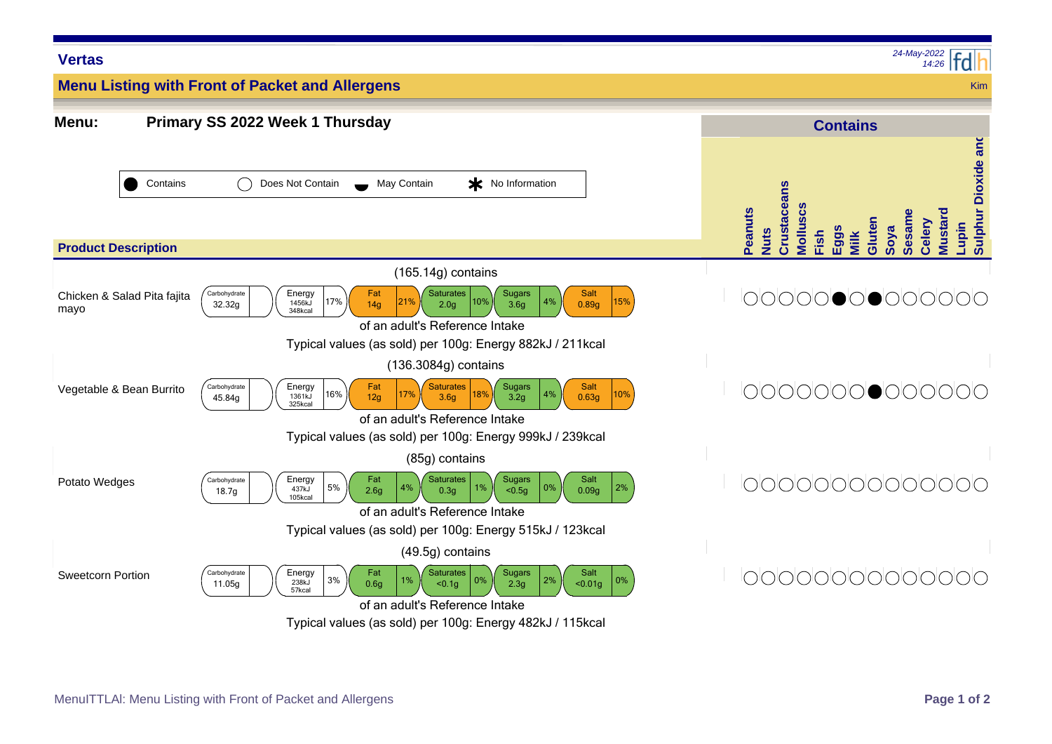